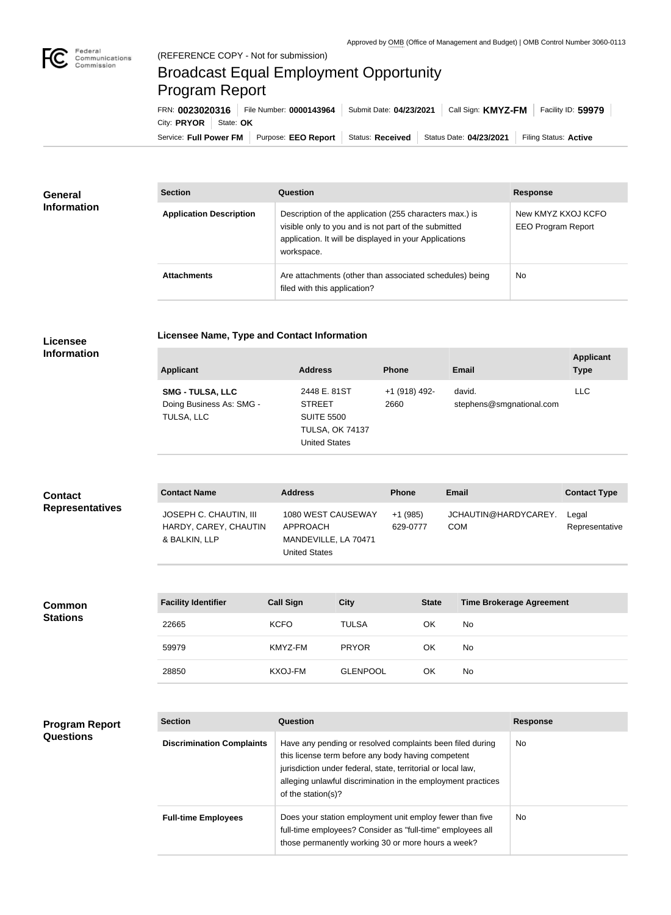п

## Broadcast Equal Employment Opportunity Program Report

**Licensee Name, Type and Contact Information**

Service: Full Power FM Purpose: EEO Report | Status: Received | Status Date: 04/23/2021 | Filing Status: Active City: **PRYOR** State: OK FRN: **0023020316** File Number: **0000143964** Submit Date: **04/23/2021** Call Sign: **KMYZ-FM** Facility ID: **59979**

| General<br><b>Information</b> | <b>Section</b>                 | Question                                                                                                                                                                                | <b>Response</b>                                 |
|-------------------------------|--------------------------------|-----------------------------------------------------------------------------------------------------------------------------------------------------------------------------------------|-------------------------------------------------|
|                               | <b>Application Description</b> | Description of the application (255 characters max.) is<br>visible only to you and is not part of the submitted<br>application. It will be displayed in your Applications<br>workspace. | New KMYZ KXOJ KCFO<br><b>EEO Program Report</b> |
|                               | <b>Attachments</b>             | Are attachments (other than associated schedules) being<br>filed with this application?                                                                                                 | <b>No</b>                                       |

## **Licensee Information**

| <b>Applicant</b>                                                  | <b>Address</b>                                                                                       | <b>Phone</b>          | Email                              | <b>Applicant</b><br><b>Type</b> |
|-------------------------------------------------------------------|------------------------------------------------------------------------------------------------------|-----------------------|------------------------------------|---------------------------------|
| <b>SMG - TULSA, LLC</b><br>Doing Business As: SMG -<br>TULSA, LLC | 2448 E. 81ST<br><b>STREET</b><br><b>SUITE 5500</b><br><b>TULSA, OK 74137</b><br><b>United States</b> | +1 (918) 492-<br>2660 | david.<br>stephens@smgnational.com | <b>LLC</b>                      |

| <b>Contact</b>         | <b>Contact Name</b>                                              | <b>Address</b>                                                                 | <b>Phone</b>          | <b>Email</b>                       | <b>Contact Type</b>     |
|------------------------|------------------------------------------------------------------|--------------------------------------------------------------------------------|-----------------------|------------------------------------|-------------------------|
| <b>Representatives</b> | JOSEPH C. CHAUTIN, III<br>HARDY, CAREY, CHAUTIN<br>& BALKIN, LLP | 1080 WEST CAUSEWAY<br>APPROACH<br>MANDEVILLE, LA 70471<br><b>United States</b> | $+1(985)$<br>629-0777 | JCHAUTIN@HARDYCAREY.<br><b>COM</b> | Legal<br>Representative |

| <b>Common</b><br><b>Stations</b> | <b>Facility Identifier</b> | <b>Call Sign</b> | <b>City</b>     | <b>State</b> | <b>Time Brokerage Agreement</b> |
|----------------------------------|----------------------------|------------------|-----------------|--------------|---------------------------------|
|                                  | 22665                      | <b>KCFO</b>      | <b>TULSA</b>    | OK           | No                              |
|                                  | 59979                      | KMYZ-FM          | <b>PRYOR</b>    | OK           | No                              |
|                                  | 28850                      | KXOJ-FM          | <b>GLENPOOL</b> | OK           | No                              |

| <b>Program Report</b><br><b>Questions</b> | <b>Section</b>                   | Question                                                                                                                                                                                                                                                              | <b>Response</b> |
|-------------------------------------------|----------------------------------|-----------------------------------------------------------------------------------------------------------------------------------------------------------------------------------------------------------------------------------------------------------------------|-----------------|
|                                           | <b>Discrimination Complaints</b> | Have any pending or resolved complaints been filed during<br>this license term before any body having competent<br>jurisdiction under federal, state, territorial or local law,<br>alleging unlawful discrimination in the employment practices<br>of the station(s)? | No.             |
|                                           | <b>Full-time Employees</b>       | Does your station employment unit employ fewer than five<br>full-time employees? Consider as "full-time" employees all<br>those permanently working 30 or more hours a week?                                                                                          | No.             |